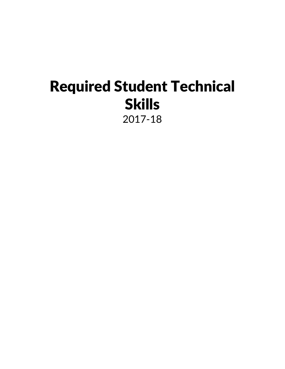# Required Student Technical Skills

2017-18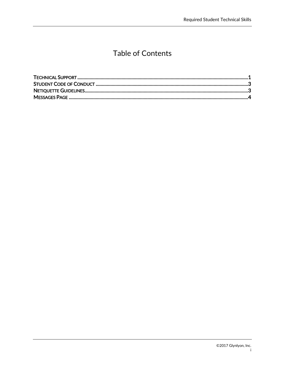# **Table of Contents**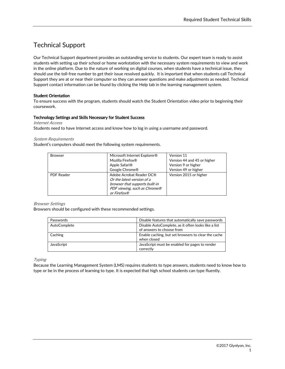# <span id="page-2-0"></span>Technical Support

Our Technical Support department provides an outstanding service to students. Our expert team is ready to assist students with setting up their school or home workstation with the necessary system requirements to view and work in the online platform. Due to the nature of working on digital courses, when students have a technical issue, they should use the toll-free number to get their issue resolved quickly. It is important that when students call Technical Support they are at or near their computer so they can answer questions and make adjustments as needed. Technical Support contact information can be found by clicking the Help tab in the learning management system.

#### Student Orientation

To ensure success with the program, students should watch the Student Orientation video prior to beginning their coursework.

#### Technology Settings and Skills Necessary for Student Success

Internet Access Students need to have Internet access and know how to log in using a username and password.

#### System Requirements

Student's computers should meet the following system requirements.

| <b>Browser</b>    | Microsoft Internet Explorer®<br>Mozilla Firefox®<br>Apple Safari <sup>®</sup><br>Google Chrome®                                         | Version 11<br>Version 44 and 45 or higher<br>Version 9 or higher<br>Version 49 or higher |  |
|-------------------|-----------------------------------------------------------------------------------------------------------------------------------------|------------------------------------------------------------------------------------------|--|
| <b>PDF Reader</b> | Adobe Acrobat Reader DC®<br>Or the latest version of a<br>browser that supports built-in<br>PDF viewing, such as Chrome®<br>or Firefox® | Version 2015 or higher                                                                   |  |

#### Browser Settings

Browsers should be configured with these recommended settings.

| Passwords    | Disable features that automatically save passwords                               |
|--------------|----------------------------------------------------------------------------------|
| AutoComplete | Disable AutoComplete, as it often looks like a list<br>of answers to choose from |
| Caching      | Enable caching, but set browsers to clear the cache<br>when closed               |
| JavaScript   | JavaScript must be enabled for pages to render<br>correctly                      |

Typing

Because the Learning Management System (LMS) requires students to type answers, students need to know how to type or be in the process of learning to type. It is expected that high school students can type fluently.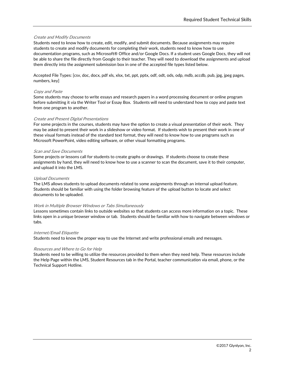#### Create and Modify Documents

Students need to know how to create, edit, modify, and submit documents. Because assignments may require students to create and modify documents for completing their work, students need to know how to use documentation programs, such as Microsoft® Office and/or Google Docs. If a student uses Google Docs, they will not be able to share the file directly from Google to their teacher. They will need to download the assignments and upload them directly into the assignment submission box in one of the accepted file types listed below.

Accepted File Types: [csv, doc, docx, pdf xls, xlsx, txt, ppt, pptx, odf, odt, ods, odp, mdb, accdb, pub, jpg, jpeg pages, numbers, key]

#### Copy and Paste

Some students may choose to write essays and research papers in a word processing document or online program before submitting it via the Writer Tool or Essay Box. Students will need to understand how to copy and paste text from one program to another.

#### Create and Present Digital Presentations

For some projects in the courses, students may have the option to create a visual presentation of their work. They may be asked to present their work in a slideshow or video format. If students wish to present their work in one of these visual formats instead of the standard text format, they will need to know how to use programs such as Microsoft PowerPoint, video editing software, or other visual formatting programs.

#### Scan and Save Documents

Some projects or lessons call for students to create graphs or drawings. If students choose to create these assignments by hand, they will need to know how to use a scanner to scan the document, save it to their computer, and upload it into the LMS.

#### Upload Documents

The LMS allows students to upload documents related to some assignments through an internal upload feature. Students should be familiar with using the folder browsing feature of the upload button to locate and select documents to be uploaded.

#### Work in Multiple Browser Windows or Tabs Simultaneously

Lessons sometimes contain links to outside websites so that students can access more information on a topic. These links open in a unique browser window or tab. Students should be familiar with how to navigate between windows or tabs.

#### Internet/Email Etiquette

Students need to know the proper way to use the Internet and write professional emails and messages.

#### Resources and Where to Go for Help

Students need to be willing to utilize the resources provided to them when they need help. These resources include the Help Page within the LMS, Student Resources tab in the Portal, teacher communication via email, phone, or the Technical Support Hotline.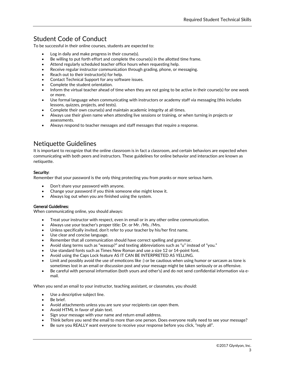## <span id="page-4-0"></span>Student Code of Conduct

To be successful in their online courses, students are expected to:

- Log in daily and make progress in their course(s).
- Be willing to put forth effort and complete the course(s) in the allotted time frame.
- Attend regularly scheduled teacher office hours when requesting help.
- Receive regular instructor communication through grading, phone, or messaging.
- Reach out to their instructor(s) for help.
- Contact Technical Support for any software issues.
- Complete the student orientation.
- Inform the virtual teacher ahead of time when they are not going to be active in their course(s) for one week or more.
- Use formal language when communicating with instructors or academy staff via messaging (this includes lessons, quizzes, projects, and tests).
- Complete their own course(s) and maintain academic integrity at all times.
- Always use their given name when attending live sessions or training, or when turning in projects or assessments.
- Always respond to teacher messages and staff messages that require a response.

## <span id="page-4-1"></span>Netiquette Guidelines

It is important to recognize that the online classroom is in fact a classroom, and certain behaviors are expected when communicating with both peers and instructors. These guidelines for online behavior and interaction are known as netiquette.

#### Security:

Remember that your password is the only thing protecting you from pranks or more serious harm.

- Don't share your password with anyone.
- Change your password if you think someone else might know it.
- Always log out when you are finished using the system.

#### General Guidelines:

When communicating online, you should always:

- Treat your instructor with respect, even in email or in any other online communication.
- Always use your teacher's proper title: Dr. or Mr. /Ms. /Mrs.
- Unless specifically invited, don't refer to your teacher by his/her first name.
- Use clear and concise language.
- Remember that all communication should have correct spelling and grammar.
- Avoid slang terms such as "wassup?" and texting abbreviations such as "u" instead of "you."
- Use standard fonts such as Times New Roman and use a size 12 or 14-point font.
- Avoid using the Caps Lock feature AS IT CAN BE INTERPRETED AS YELLING.
- Limit and possibly avoid the use of emoticons like :) or be cautious when using humor or sarcasm as tone is sometimes lost in an email or discussion post and your message might be taken seriously or as offensive.
- Be careful with personal information (both yours and other's) and do not send confidential information via email.

When you send an email to your instructor, teaching assistant, or classmates, you should:

- Use a descriptive subject line.
- Be brief.
- Avoid attachments unless you are sure your recipients can open them.
- Avoid HTML in favor of plain text.
- Sign your message with your name and return email address.
- Think before you send the email to more than one person. Does everyone really need to see your message?
- Be sure you REALLY want everyone to receive your response before you click, "reply all".